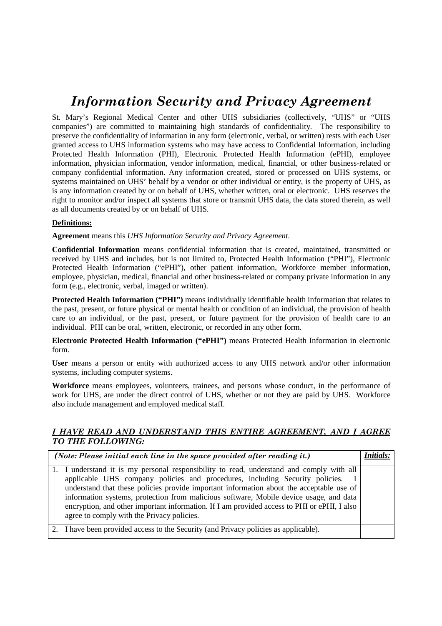## *Information Security and Privacy Agreement*

St. Mary's Regional Medical Center and other UHS subsidiaries (collectively, "UHS" or "UHS companies") are committed to maintaining high standards of confidentiality. The responsibility to preserve the confidentiality of information in any form (electronic, verbal, or written) rests with each User granted access to UHS information systems who may have access to Confidential Information, including Protected Health Information (PHI), Electronic Protected Health Information (ePHI), employee information, physician information, vendor information, medical, financial, or other business-related or company confidential information. Any information created, stored or processed on UHS systems, or systems maintained on UHS' behalf by a vendor or other individual or entity, is the property of UHS, as is any information created by or on behalf of UHS, whether written, oral or electronic. UHS reserves the right to monitor and/or inspect all systems that store or transmit UHS data, the data stored therein, as well as all documents created by or on behalf of UHS.

## **Definitions:**

**Agreement** means this *UHS Information Security and Privacy Agreement*.

**Confidential Information** means confidential information that is created, maintained, transmitted or received by UHS and includes, but is not limited to, Protected Health Information ("PHI"), Electronic Protected Health Information ("ePHI"), other patient information, Workforce member information, employee, physician, medical, financial and other business-related or company private information in any form (e.g., electronic, verbal, imaged or written).

**Protected Health Information ("PHI")** means individually identifiable health information that relates to the past, present, or future physical or mental health or condition of an individual, the provision of health care to an individual, or the past, present, or future payment for the provision of health care to an individual. PHI can be oral, written, electronic, or recorded in any other form.

**Electronic Protected Health Information ("ePHI")** means Protected Health Information in electronic form.

**User** means a person or entity with authorized access to any UHS network and/or other information systems, including computer systems.

**Workforce** means employees, volunteers, trainees, and persons whose conduct, in the performance of work for UHS, are under the direct control of UHS, whether or not they are paid by UHS. Workforce also include management and employed medical staff.

## *I HAVE READ AND UNDERSTAND THIS ENTIRE AGREEMENT, AND I AGREE TO THE FOLLOWING:*

| (Note: Please initial each line in the space provided after reading it.) |                                                                                                                                                                                                                                                                                                                                                                                                                                                                                                             |  |
|--------------------------------------------------------------------------|-------------------------------------------------------------------------------------------------------------------------------------------------------------------------------------------------------------------------------------------------------------------------------------------------------------------------------------------------------------------------------------------------------------------------------------------------------------------------------------------------------------|--|
|                                                                          | 1. I understand it is my personal responsibility to read, understand and comply with all<br>applicable UHS company policies and procedures, including Security policies.<br>understand that these policies provide important information about the acceptable use of<br>information systems, protection from malicious software, Mobile device usage, and data<br>encryption, and other important information. If I am provided access to PHI or ePHI, I also<br>agree to comply with the Privacy policies. |  |
|                                                                          | 2. I have been provided access to the Security (and Privacy policies as applicable).                                                                                                                                                                                                                                                                                                                                                                                                                        |  |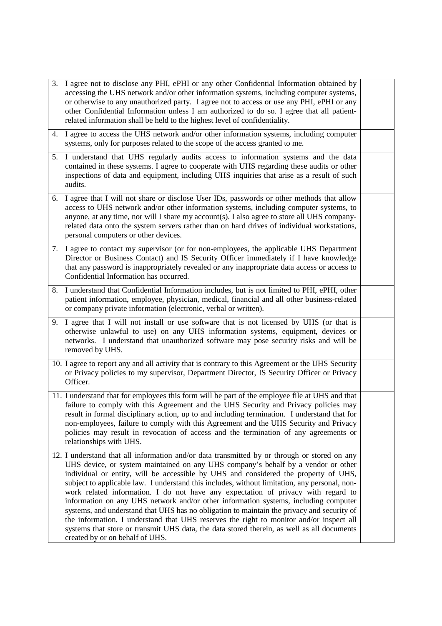| 3. | I agree not to disclose any PHI, ePHI or any other Confidential Information obtained by<br>accessing the UHS network and/or other information systems, including computer systems,<br>or otherwise to any unauthorized party. I agree not to access or use any PHI, ePHI or any<br>other Confidential Information unless I am authorized to do so. I agree that all patient-<br>related information shall be held to the highest level of confidentiality.                                                                                                                                                                                                                                                                                                                                                                                                                      |  |
|----|---------------------------------------------------------------------------------------------------------------------------------------------------------------------------------------------------------------------------------------------------------------------------------------------------------------------------------------------------------------------------------------------------------------------------------------------------------------------------------------------------------------------------------------------------------------------------------------------------------------------------------------------------------------------------------------------------------------------------------------------------------------------------------------------------------------------------------------------------------------------------------|--|
|    | 4. I agree to access the UHS network and/or other information systems, including computer<br>systems, only for purposes related to the scope of the access granted to me.                                                                                                                                                                                                                                                                                                                                                                                                                                                                                                                                                                                                                                                                                                       |  |
|    | 5. I understand that UHS regularly audits access to information systems and the data<br>contained in these systems. I agree to cooperate with UHS regarding these audits or other<br>inspections of data and equipment, including UHS inquiries that arise as a result of such<br>audits.                                                                                                                                                                                                                                                                                                                                                                                                                                                                                                                                                                                       |  |
|    | 6. I agree that I will not share or disclose User IDs, passwords or other methods that allow<br>access to UHS network and/or other information systems, including computer systems, to<br>anyone, at any time, nor will I share my account(s). I also agree to store all UHS company-<br>related data onto the system servers rather than on hard drives of individual workstations,<br>personal computers or other devices.                                                                                                                                                                                                                                                                                                                                                                                                                                                    |  |
|    | 7. I agree to contact my supervisor (or for non-employees, the applicable UHS Department<br>Director or Business Contact) and IS Security Officer immediately if I have knowledge<br>that any password is inappropriately revealed or any inappropriate data access or access to<br>Confidential Information has occurred.                                                                                                                                                                                                                                                                                                                                                                                                                                                                                                                                                      |  |
|    | 8. I understand that Confidential Information includes, but is not limited to PHI, ePHI, other<br>patient information, employee, physician, medical, financial and all other business-related<br>or company private information (electronic, verbal or written).                                                                                                                                                                                                                                                                                                                                                                                                                                                                                                                                                                                                                |  |
|    | 9. I agree that I will not install or use software that is not licensed by UHS (or that is<br>otherwise unlawful to use) on any UHS information systems, equipment, devices or<br>networks. I understand that unauthorized software may pose security risks and will be<br>removed by UHS.                                                                                                                                                                                                                                                                                                                                                                                                                                                                                                                                                                                      |  |
|    | 10. I agree to report any and all activity that is contrary to this Agreement or the UHS Security<br>or Privacy policies to my supervisor, Department Director, IS Security Officer or Privacy<br>Officer.                                                                                                                                                                                                                                                                                                                                                                                                                                                                                                                                                                                                                                                                      |  |
|    | 11. I understand that for employees this form will be part of the employee file at UHS and that<br>failure to comply with this Agreement and the UHS Security and Privacy policies may<br>result in formal disciplinary action, up to and including termination. I understand that for<br>non-employees, failure to comply with this Agreement and the UHS Security and Privacy<br>policies may result in revocation of access and the termination of any agreements or<br>relationships with UHS.                                                                                                                                                                                                                                                                                                                                                                              |  |
|    | 12. I understand that all information and/or data transmitted by or through or stored on any<br>UHS device, or system maintained on any UHS company's behalf by a vendor or other<br>individual or entity, will be accessible by UHS and considered the property of UHS,<br>subject to applicable law. I understand this includes, without limitation, any personal, non-<br>work related information. I do not have any expectation of privacy with regard to<br>information on any UHS network and/or other information systems, including computer<br>systems, and understand that UHS has no obligation to maintain the privacy and security of<br>the information. I understand that UHS reserves the right to monitor and/or inspect all<br>systems that store or transmit UHS data, the data stored therein, as well as all documents<br>created by or on behalf of UHS. |  |